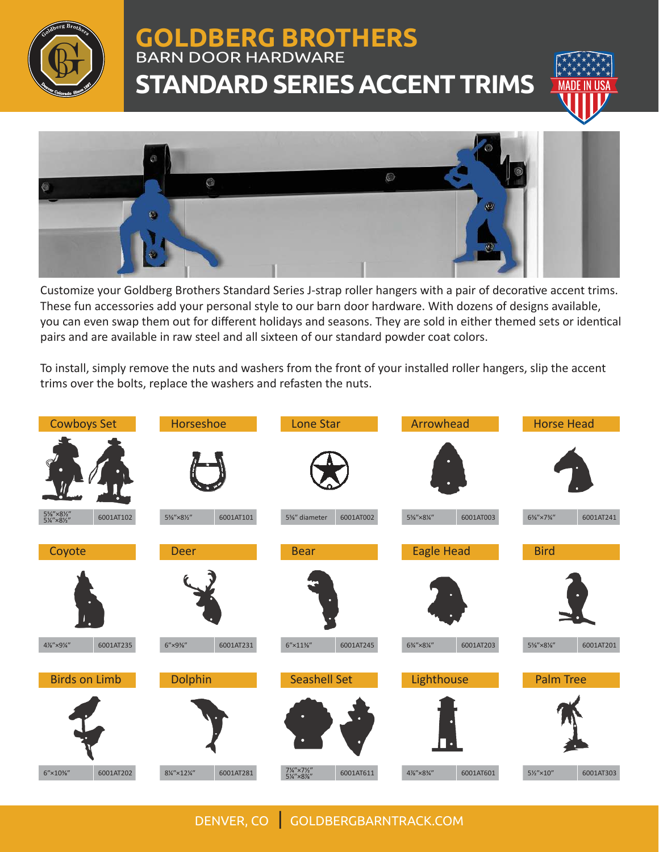

## **GOLDBERG BROTHERS** BARN DOOR HARDWARE **STANDARD SERIES ACCENT TRIMS**





Customize your Goldberg Brothers Standard Series J-strap roller hangers with a pair of decorative accent trims. These fun accessories add your personal style to our barn door hardware. With dozens of designs available, you can even swap them out for different holidays and seasons. They are sold in either themed sets or identical pairs and are available in raw steel and all sixteen of our standard powder coat colors.

To install, simply remove the nuts and washers from the front of your installed roller hangers, slip the accent trims over the bolts, replace the washers and refasten the nuts.